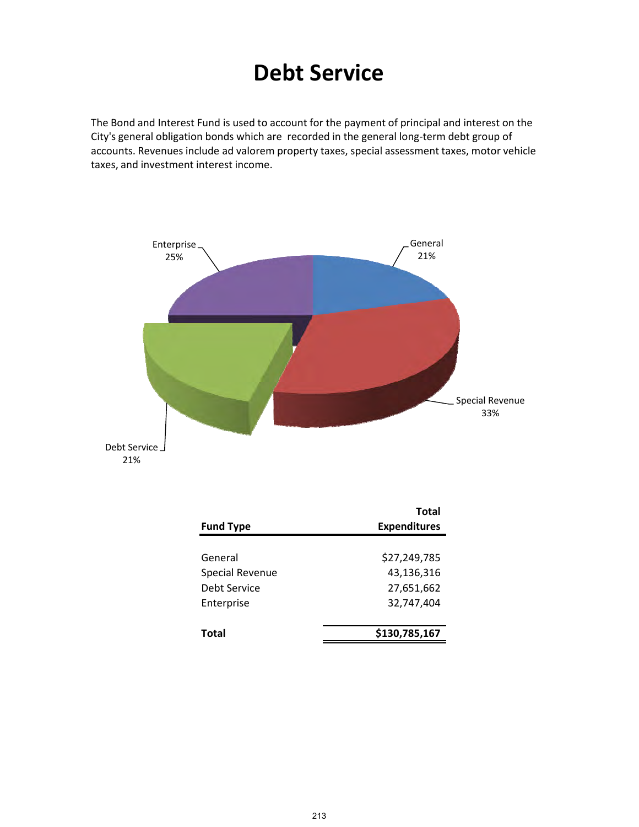# **Debt Service**

The Bond and Interest Fund is used to account for the payment of principal and interest on the City's general obligation bonds which are recorded in the general long‐term debt group of accounts. Revenues include ad valorem property taxes, special assessment taxes, motor vehicle taxes, and investment interest income.



|                        | Total               |
|------------------------|---------------------|
| <b>Fund Type</b>       | <b>Expenditures</b> |
|                        |                     |
| General                | \$27,249,785        |
| <b>Special Revenue</b> | 43,136,316          |
| Debt Service           | 27,651,662          |
| Enterprise             | 32,747,404          |
|                        |                     |
| Total                  | \$130,785,167       |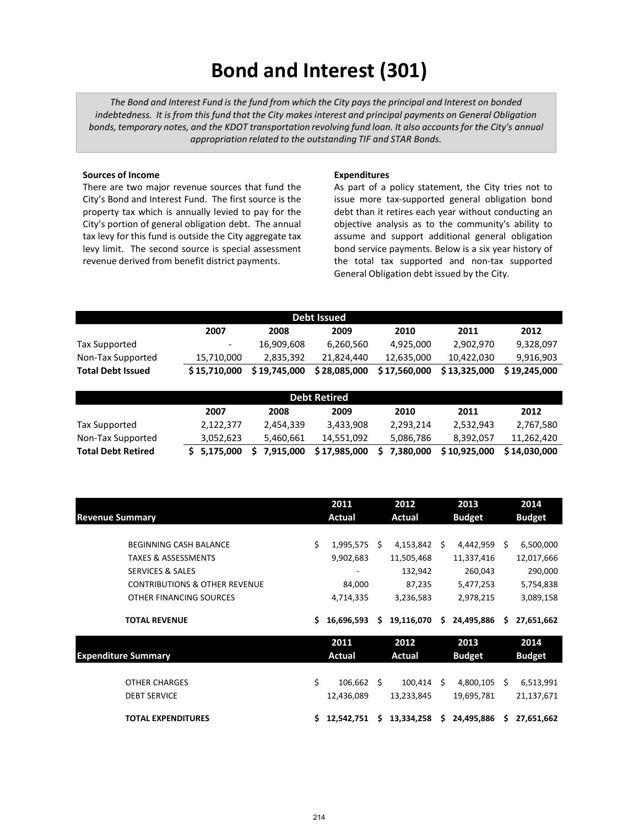# **Bond and Interest (301)**

*The Bond and Interest Fund is the fund from which the City pays the principal and Interest on bonded indebtedness. It is from this fund that the City makes interest and principal payments on General Obligation bonds, temporary notes, and the KDOT transportation revolving fund loan. It also accounts for the City's annual appropriation related to the outstanding TIF and STAR Bonds.*

#### **Sources of Income**

There are two major revenue sources that fund the City's Bond and Interest Fund. The first source is the property tax which is annually levied to pay for the City's portion of general obligation debt. The annual tax levy for this fund is outside the City aggregate tax levy limit. The second source is special assessment revenue derived from benefit district payments.

#### **Expenditures**

As part of a policy statement, the City tries not to issue more tax-supported general obligation bond debt than it retires each year without conducting an objective analysis as to the community's ability to assume and support additional general obligation bond service payments. Below is a six year history of the total tax supported and non-tax supported General Obligation debt issued by the City.

| Debt Issued              |                          |              |              |              |              |              |  |  |
|--------------------------|--------------------------|--------------|--------------|--------------|--------------|--------------|--|--|
|                          | 2007                     | 2008         | 2009         | 2010         | 2011         | 2012         |  |  |
| Tax Supported            | $\overline{\phantom{0}}$ | 16,909,608   | 6,260,560    | 4,925,000    | 2,902,970    | 9,328,097    |  |  |
| Non-Tax Supported        | 15,710,000               | 2.835.392    | 21.824.440   | 12.635.000   | 10.422.030   | 9,916,903    |  |  |
| <b>Total Debt Issued</b> | \$15,710,000             | \$19,745,000 | \$28,085,000 | \$17,560,000 | \$13,325,000 | \$19.245.000 |  |  |

| <b>Debt Retired</b>       |             |           |              |           |              |              |  |  |
|---------------------------|-------------|-----------|--------------|-----------|--------------|--------------|--|--|
|                           | 2007        | 2008      | 2009         | 2010      | 2011         | 2012         |  |  |
| Tax Supported             | 2,122,377   | 2.454.339 | 3.433.908    | 2.293.214 | 2,532,943    | 2,767,580    |  |  |
| Non-Tax Supported         | 3,052,623   | 5.460.661 | 14.551.092   | 5,086,786 | 8,392,057    | 11,262,420   |  |  |
| <b>Total Debt Retired</b> | \$5,175,000 | 7,915,000 | \$17,985,000 | 7,380,000 | \$10.925,000 | \$14.030.000 |  |  |

|                                          |    | 2011          |    | 2012          |    | 2013          |    | 2014          |
|------------------------------------------|----|---------------|----|---------------|----|---------------|----|---------------|
| <b>Revenue Summary</b>                   |    | Actual        |    | Actual        |    | <b>Budget</b> |    | <b>Budget</b> |
|                                          |    |               |    |               |    |               |    |               |
| <b>BEGINNING CASH BALANCE</b>            | Ś. | 1,995,575     | S  | 4,153,842     | S  | 4,442,959     | Ŝ. | 6,500,000     |
| <b>TAXES &amp; ASSESSMENTS</b>           |    | 9,902,683     |    | 11,505,468    |    | 11,337,416    |    | 12,017,666    |
| <b>SERVICES &amp; SALES</b>              |    |               |    | 132,942       |    | 260,043       |    | 290,000       |
| <b>CONTRIBUTIONS &amp; OTHER REVENUE</b> |    | 84,000        |    | 87,235        |    | 5,477,253     |    | 5,754,838     |
| OTHER FINANCING SOURCES                  |    | 4,714,335     |    | 3,236,583     |    | 2,978,215     |    | 3,089,158     |
|                                          |    |               |    |               |    |               |    |               |
| <b>TOTAL REVENUE</b>                     | S  | 16,696,593    | S. | 19,116,070    | S. | 24,495,886    | S. | 27,651,662    |
|                                          |    | 2011          |    | 2012          |    | 2013          |    | 2014          |
| <b>Expenditure Summary</b>               |    | <b>Actual</b> |    | <b>Actual</b> |    | <b>Budget</b> |    | <b>Budget</b> |
|                                          |    |               |    |               |    |               |    |               |
| <b>OTHER CHARGES</b>                     | Ś. | 106,662       | -Ś | 100,414       | S  | 4,800,105     | Ś. | 6,513,991     |
| <b>DEBT SERVICE</b>                      |    | 12,436,089    |    | 13,233,845    |    | 19,695,781    |    | 21,137,671    |
| <b>TOTAL EXPENDITURES</b>                | S. | 12,542,751    | S. | 13,334,258    | S. | 24,495,886    | S. | 27,651,662    |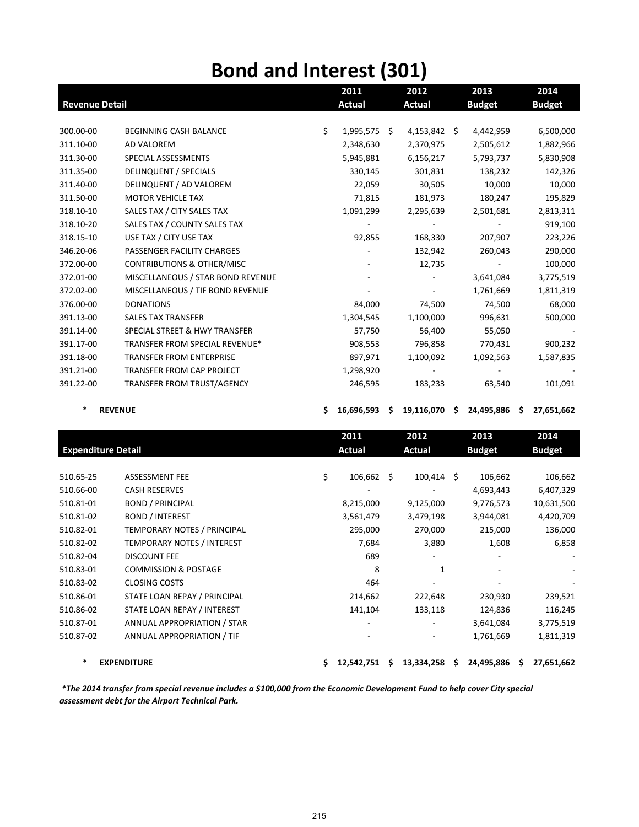## **Bond and Interest (301)**

|                       | 2011<br>2012                          |    | 2013                     |               | 2014 |               |   |               |
|-----------------------|---------------------------------------|----|--------------------------|---------------|------|---------------|---|---------------|
| <b>Revenue Detail</b> |                                       |    | <b>Actual</b>            | <b>Actual</b> |      | <b>Budget</b> |   | <b>Budget</b> |
|                       |                                       |    |                          |               |      |               |   |               |
| 300.00-00             | BEGINNING CASH BALANCE                | \$ | 1,995,575 \$             | 4,153,842     | -\$  | 4,442,959     |   | 6,500,000     |
| 311.10-00             | <b>AD VALOREM</b>                     |    | 2,348,630                | 2,370,975     |      | 2,505,612     |   | 1,882,966     |
| 311.30-00             | SPECIAL ASSESSMENTS                   |    | 5,945,881                | 6,156,217     |      | 5,793,737     |   | 5,830,908     |
| 311.35-00             | <b>DELINQUENT / SPECIALS</b>          |    | 330,145                  | 301,831       |      | 138,232       |   | 142,326       |
| 311.40-00             | DELINQUENT / AD VALOREM               |    | 22,059                   | 30,505        |      | 10,000        |   | 10,000        |
| 311.50-00             | <b>MOTOR VEHICLE TAX</b>              |    | 71,815                   | 181,973       |      | 180,247       |   | 195,829       |
| 318.10-10             | SALES TAX / CITY SALES TAX            |    | 1,091,299                | 2,295,639     |      | 2,501,681     |   | 2,813,311     |
| 318.10-20             | SALES TAX / COUNTY SALES TAX          |    | $\overline{\phantom{a}}$ |               |      |               |   | 919,100       |
| 318.15-10             | USE TAX / CITY USE TAX                |    | 92,855                   | 168,330       |      | 207,907       |   | 223,226       |
| 346.20-06             | PASSENGER FACILITY CHARGES            |    |                          | 132,942       |      | 260,043       |   | 290,000       |
| 372.00-00             | <b>CONTRIBUTIONS &amp; OTHER/MISC</b> |    |                          | 12,735        |      |               |   | 100,000       |
| 372.01-00             | MISCELLANEOUS / STAR BOND REVENUE     |    |                          |               |      | 3,641,084     |   | 3,775,519     |
| 372.02-00             | MISCELLANEOUS / TIF BOND REVENUE      |    |                          |               |      | 1,761,669     |   | 1,811,319     |
| 376.00-00             | <b>DONATIONS</b>                      |    | 84,000                   | 74,500        |      | 74,500        |   | 68,000        |
| 391.13-00             | <b>SALES TAX TRANSFER</b>             |    | 1,304,545                | 1,100,000     |      | 996,631       |   | 500,000       |
| 391.14-00             | SPECIAL STREET & HWY TRANSFER         |    | 57,750                   | 56,400        |      | 55,050        |   |               |
| 391.17-00             | TRANSFER FROM SPECIAL REVENUE*        |    | 908,553                  | 796,858       |      | 770,431       |   | 900,232       |
| 391.18-00             | <b>TRANSFER FROM ENTERPRISE</b>       |    | 897,971                  | 1,100,092     |      | 1,092,563     |   | 1,587,835     |
| 391.21-00             | TRANSFER FROM CAP PROJECT             |    | 1,298,920                |               |      |               |   |               |
| 391.22-00             | TRANSFER FROM TRUST/AGENCY            |    | 246,595                  | 183,233       |      | 63,540        |   | 101,091       |
|                       | <b>REVENUE</b>                        | \$ | 16,696,593 \$            | 19,116,070    | -\$  | 24,495,886    | S | 27,651,662    |
|                       |                                       |    |                          |               |      |               |   |               |
|                       |                                       |    | 2011                     | 2012          |      | 2013          |   | 2014          |
|                       | <b>Expenditure Detail</b>             |    | <b>Actual</b>            | <b>Actual</b> |      | <b>Budget</b> |   | <b>Budget</b> |
| 510.65-25             | <b>ASSESSMENT FEE</b>                 | \$ | $106,662 \quad $$        | $100,414$ \$  |      | 106,662       |   | 106,662       |
| 510.66-00             | <b>CASH RESERVES</b>                  |    |                          |               |      | 4,693,443     |   | 6,407,329     |
| 510.81-01             | <b>BOND / PRINCIPAL</b>               |    | 8,215,000                | 9,125,000     |      | 9,776,573     |   | 10,631,500    |

510.81-02 BOND / INTEREST 3,561,479 3,479,198 3,944,081 4,420,709 510.82‐01 TEMPORARY NOTES / PRINCIPAL 295,000 270,000 215,000 136,000 510.82‐02 TEMPORARY NOTES / INTEREST 7,684 3,880 1,608 6,858 510.82‐04 DISCOUNT FEE 689 ‐ ‐ ‐ 510.83-01 COMMISSION & POSTAGE 8 8 1 510.83‐02 CLOSING COSTS 464 ‐ ‐ ‐ 510.86‐01 STATE LOAN REPAY / PRINCIPAL 214,662 222,648 230,930 239,521 510.86‐02 STATE LOAN REPAY / INTEREST 141,104 133,118 124,836 116,245 510.87‐01 ANNUAL APPROPRIATION / STAR ‐ ‐ 3,641,084 3,775,519 510.87-02 ANNUAL APPROPRIATION / TIF **1.994 CONSERVANCE 12 CONSERVANCE 12 CONSERVANCE 1.811,319** 

**\* EXPENDITURE \$ 12,542,751 \$ 13,334,258 \$ 24,495,886 \$ 27,651,662**

\*The 2014 transfer from special revenue includes a \$100,000 from the Economic Development Fund to help cover City special *assessment debt for the Airport Technical Park.*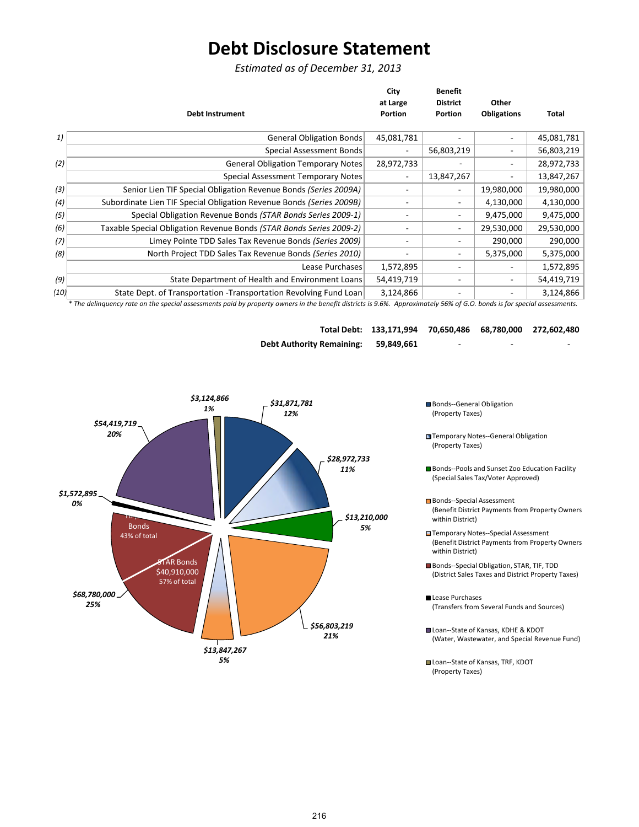## **Debt Disclosure Statement**

*Estimated as of December 31, 2013*

| at Large<br><b>District</b><br>Other<br><b>Obligations</b><br>Portion<br>Portion<br><b>Debt Instrument</b><br>45,081,781<br>1)<br><b>General Obligation Bonds</b> | Total      |
|-------------------------------------------------------------------------------------------------------------------------------------------------------------------|------------|
|                                                                                                                                                                   |            |
|                                                                                                                                                                   |            |
|                                                                                                                                                                   | 45,081,781 |
| Special Assessment Bonds<br>56,803,219<br>-                                                                                                                       | 56,803,219 |
| (2)<br><b>General Obligation Temporary Notes</b><br>28,972,733                                                                                                    | 28,972,733 |
| 13,847,267<br><b>Special Assessment Temporary Notes</b><br>۰.                                                                                                     | 13,847,267 |
| (3)<br>Senior Lien TIF Special Obligation Revenue Bonds (Series 2009A)<br>19,980,000<br>-                                                                         | 19,980,000 |
| Subordinate Lien TIF Special Obligation Revenue Bonds (Series 2009B)<br>4,130,000<br>(4)<br>۰.                                                                    | 4,130,000  |
| Special Obligation Revenue Bonds (STAR Bonds Series 2009-1)<br>9,475,000<br>(5)<br>-<br>٠                                                                         | 9,475,000  |
| Taxable Special Obligation Revenue Bonds (STAR Bonds Series 2009-2)<br>29,530,000<br>(6)<br>۰.                                                                    | 29,530,000 |
| Limey Pointe TDD Sales Tax Revenue Bonds (Series 2009)<br>290,000<br>(7)<br>۰.                                                                                    | 290,000    |
| (8)<br>North Project TDD Sales Tax Revenue Bonds (Series 2010)<br>5,375,000                                                                                       | 5,375,000  |
| Lease Purchases<br>1,572,895<br>$\overline{\phantom{0}}$                                                                                                          | 1,572,895  |
| (9)<br>State Department of Health and Environment Loans<br>54,419,719                                                                                             | 54,419,719 |
| State Dept. of Transportation - Transportation Revolving Fund Loan<br>3,124,866<br>(10)                                                                           | 3,124,866  |

\* The delinquency rate on the special assessments paid by property owners in the benefit districts is 9.6%. Approximately 56% of G.O. bonds is for special assessments.

|                                  | Total Debt: 133,171,994 70,650,486 68,780,000 272,602,480 |   |   |   |
|----------------------------------|-----------------------------------------------------------|---|---|---|
| <b>Debt Authority Remaining:</b> | 59.849.661                                                | - | - | - |



- Bonds--General Obligation (Property Taxes)
- (Property Taxes)
- Bonds--Pools and Sunset Zoo Education Facility (Special Sales Tax/Voter Approved)
- Bonds--Special Assessment (Benefit District Payments from Property Owners within District)
- Temporary Notes‐‐Special Assessment (Benefit District Payments from Property Owners within District)
- Bonds--Special Obligation, STAR, TIF, TDD (District Sales Taxes and District Property Taxes)
- Lease Purchases (Transfers from Several Funds and Sources)
- Loan--State of Kansas, KDHE & KDOT (Water, Wastewater, and Special Revenue Fund)
- Loan--State of Kansas, TRF, KDOT (Property Taxes)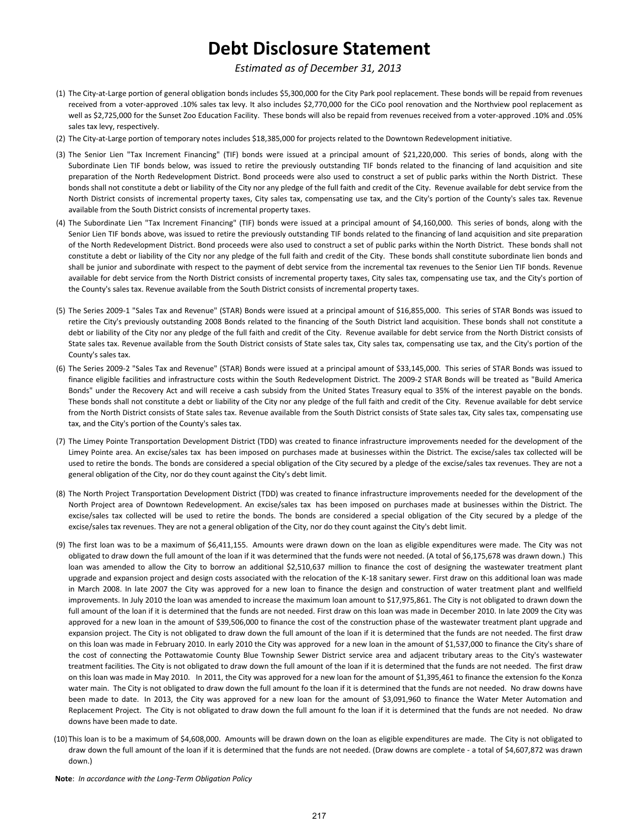## **Debt Disclosure Statement**

#### *Estimated as of December 31, 2013*

- (1) The City‐at‐Large portion of general obligation bonds includes \$5,300,000 for the City Park pool replacement. These bonds will be repaid from revenues received from a voter‐approved .10% sales tax levy. It also includes \$2,770,000 for the CiCo pool renovation and the Northview pool replacement as well as \$2,725,000 for the Sunset Zoo Education Facility. These bonds will also be repaid from revenues received from a voter‐approved .10% and .05% sales tax levy, respectively.
- (2) The City‐at‐Large portion of temporary notes includes \$18,385,000 for projects related to the Downtown Redevelopment initiative.
- (3) The Senior Lien "Tax Increment Financing" (TIF) bonds were issued at a principal amount of \$21,220,000. This series of bonds, along with the Subordinate Lien TIF bonds below, was issued to retire the previously outstanding TIF bonds related to the financing of land acquisition and site preparation of the North Redevelopment District. Bond proceeds were also used to construct a set of public parks within the North District. These bonds shall not constitute a debt or liability of the City nor any pledge of the full faith and credit of the City. Revenue available for debt service from the North District consists of incremental property taxes, City sales tax, compensating use tax, and the City's portion of the County's sales tax. Revenue available from the South District consists of incremental property taxes.
- (4) The Subordinate Lien "Tax Increment Financing" (TIF) bonds were issued at a principal amount of \$4,160,000. This series of bonds, along with the Senior Lien TIF bonds above, was issued to retire the previously outstanding TIF bonds related to the financing of land acquisition and site preparation of the North Redevelopment District. Bond proceeds were also used to construct a set of public parks within the North District. These bonds shall not constitute a debt or liability of the City nor any pledge of the full faith and credit of the City. These bonds shall constitute subordinate lien bonds and shall be junior and subordinate with respect to the payment of debt service from the incremental tax revenues to the Senior Lien TIF bonds. Revenue available for debt service from the North District consists of incremental property taxes, City sales tax, compensating use tax, and the City's portion of the County's sales tax. Revenue available from the South District consists of incremental property taxes.
- (5) The Series 2009‐1 "Sales Tax and Revenue" (STAR) Bonds were issued at a principal amount of \$16,855,000. This series of STAR Bonds was issued to retire the City's previously outstanding 2008 Bonds related to the financing of the South District land acquisition. These bonds shall not constitute a debt or liability of the City nor any pledge of the full faith and credit of the City. Revenue available for debt service from the North District consists of State sales tax. Revenue available from the South District consists of State sales tax, City sales tax, compensating use tax, and the City's portion of the County's sales tax.
- (6) The Series 2009‐2 "Sales Tax and Revenue" (STAR) Bonds were issued at a principal amount of \$33,145,000. This series of STAR Bonds was issued to finance eligible facilities and infrastructure costs within the South Redevelopment District. The 2009‐2 STAR Bonds will be treated as "Build America Bonds" under the Recovery Act and will receive a cash subsidy from the United States Treasury equal to 35% of the interest payable on the bonds. These bonds shall not constitute a debt or liability of the City nor any pledge of the full faith and credit of the City. Revenue available for debt service from the North District consists of State sales tax. Revenue available from the South District consists of State sales tax, City sales tax, compensating use tax, and the City's portion of the County's sales tax.
- (7) The Limey Pointe Transportation Development District (TDD) was created to finance infrastructure improvements needed for the development of the Limey Pointe area. An excise/sales tax has been imposed on purchases made at businesses within the District. The excise/sales tax collected will be used to retire the bonds. The bonds are considered a special obligation of the City secured by a pledge of the excise/sales tax revenues. They are not a general obligation of the City, nor do they count against the City's debt limit.
- (8) The North Project Transportation Development District (TDD) was created to finance infrastructure improvements needed for the development of the North Project area of Downtown Redevelopment. An excise/sales tax has been imposed on purchases made at businesses within the District. The excise/sales tax collected will be used to retire the bonds. The bonds are considered a special obligation of the City secured by a pledge of the excise/sales tax revenues. They are not a general obligation of the City, nor do they count against the City's debt limit.
- (9) The first loan was to be a maximum of \$6,411,155. Amounts were drawn down on the loan as eligible expenditures were made. The City was not obligated to draw down the full amount of the loan if it was determined that the funds were not needed. (A total of \$6,175,678 was drawn down.) This loan was amended to allow the City to borrow an additional \$2,510,637 million to finance the cost of designing the wastewater treatment plant upgrade and expansion project and design costs associated with the relocation of the K‐18 sanitary sewer. First draw on this additional loan was made in March 2008. In late 2007 the City was approved for a new loan to finance the design and construction of water treatment plant and wellfield improvements. In July 2010 the loan was amended to increase the maximum loan amount to \$17,975,861. The City is not obligated to drawn down the full amount of the loan if it is determined that the funds are not needed. First draw on this loan was made in December 2010. In late 2009 the City was approved for a new loan in the amount of \$39,506,000 to finance the cost of the construction phase of the wastewater treatment plant upgrade and expansion project. The City is not obligated to draw down the full amount of the loan if it is determined that the funds are not needed. The first draw on this loan was made in February 2010. In early 2010 the City was approved for a new loan in the amount of \$1,537,000 to finance the City's share of the cost of connecting the Pottawatomie County Blue Township Sewer District service area and adjacent tributary areas to the City's wastewater treatment facilities. The City is not obligated to draw down the full amount of the loan if it is determined that the funds are not needed. The first draw on this loan was made in May 2010. In 2011, the City was approved for a new loan for the amount of \$1,395,461 to finance the extension fo the Konza water main. The City is not obligated to draw down the full amount fo the loan if it is determined that the funds are not needed. No draw downs have been made to date. In 2013, the City was approved for a new loan for the amount of \$3,091,960 to finance the Water Meter Automation and Replacement Project. The City is not obligated to draw down the full amount fo the loan if it is determined that the funds are not needed. No draw downs have been made to date.
- (10) This loan is to be a maximum of \$4,608,000. Amounts will be drawn down on the loan as eligible expenditures are made. The City is not obligated to draw down the full amount of the loan if it is determined that the funds are not needed. (Draw downs are complete ‐ a total of \$4,607,872 was drawn down.)
- **Note**: *In accordance with the Long‐Term Obligation Policy*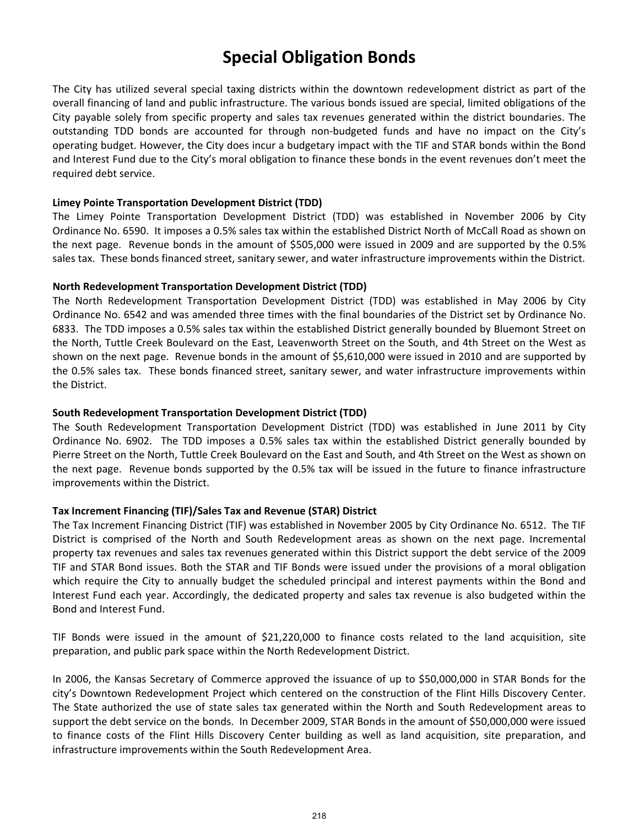### **Special Obligation Bonds**

The City has utilized several special taxing districts within the downtown redevelopment district as part of the overall financing of land and public infrastructure. The various bonds issued are special, limited obligations of the City payable solely from specific property and sales tax revenues generated within the district boundaries. The outstanding TDD bonds are accounted for through non‐budgeted funds and have no impact on the City's operating budget. However, the City does incur a budgetary impact with the TIF and STAR bonds within the Bond and Interest Fund due to the City's moral obligation to finance these bonds in the event revenues don't meet the required debt service.

#### **Limey Pointe Transportation Development District (TDD)**

The Limey Pointe Transportation Development District (TDD) was established in November 2006 by City Ordinance No. 6590. It imposes a 0.5% sales tax within the established District North of McCall Road as shown on the next page. Revenue bonds in the amount of \$505,000 were issued in 2009 and are supported by the 0.5% sales tax. These bonds financed street, sanitary sewer, and water infrastructure improvements within the District.

#### **North Redevelopment Transportation Development District (TDD)**

The North Redevelopment Transportation Development District (TDD) was established in May 2006 by City Ordinance No. 6542 and was amended three times with the final boundaries of the District set by Ordinance No. 6833. The TDD imposes a 0.5% sales tax within the established District generally bounded by Bluemont Street on the North, Tuttle Creek Boulevard on the East, Leavenworth Street on the South, and 4th Street on the West as shown on the next page. Revenue bonds in the amount of \$5,610,000 were issued in 2010 and are supported by the 0.5% sales tax. These bonds financed street, sanitary sewer, and water infrastructure improvements within the District.

#### **South Redevelopment Transportation Development District (TDD)**

The South Redevelopment Transportation Development District (TDD) was established in June 2011 by City Ordinance No. 6902. The TDD imposes a 0.5% sales tax within the established District generally bounded by Pierre Street on the North, Tuttle Creek Boulevard on the East and South, and 4th Street on the West as shown on the next page. Revenue bonds supported by the 0.5% tax will be issued in the future to finance infrastructure improvements within the District.

#### **Tax Increment Financing (TIF)/Sales Tax and Revenue (STAR) District**

The Tax Increment Financing District (TIF) was established in November 2005 by City Ordinance No. 6512. The TIF District is comprised of the North and South Redevelopment areas as shown on the next page. Incremental property tax revenues and sales tax revenues generated within this District support the debt service of the 2009 TIF and STAR Bond issues. Both the STAR and TIF Bonds were issued under the provisions of a moral obligation which require the City to annually budget the scheduled principal and interest payments within the Bond and Interest Fund each year. Accordingly, the dedicated property and sales tax revenue is also budgeted within the Bond and Interest Fund.

TIF Bonds were issued in the amount of \$21,220,000 to finance costs related to the land acquisition, site preparation, and public park space within the North Redevelopment District.

In 2006, the Kansas Secretary of Commerce approved the issuance of up to \$50,000,000 in STAR Bonds for the city's Downtown Redevelopment Project which centered on the construction of the Flint Hills Discovery Center. The State authorized the use of state sales tax generated within the North and South Redevelopment areas to support the debt service on the bonds. In December 2009, STAR Bonds in the amount of \$50,000,000 were issued to finance costs of the Flint Hills Discovery Center building as well as land acquisition, site preparation, and infrastructure improvements within the South Redevelopment Area.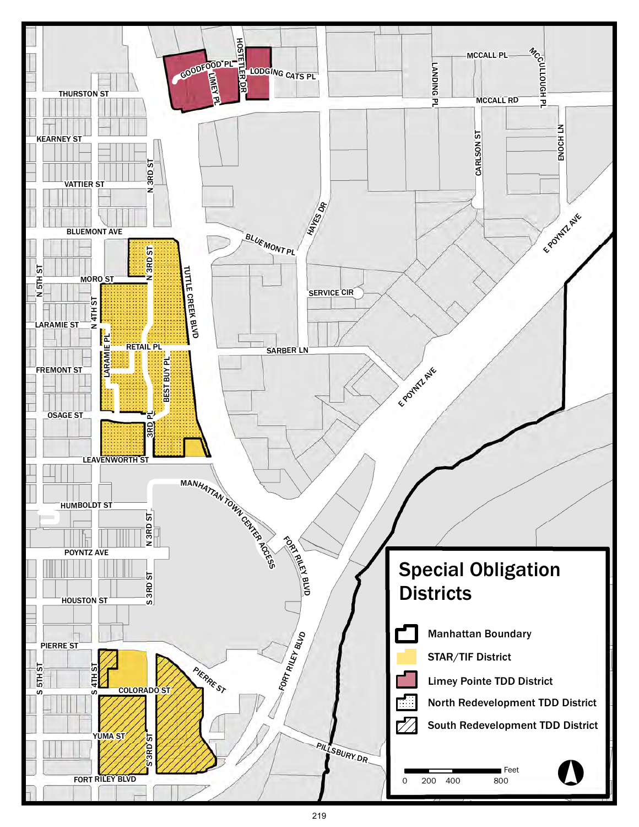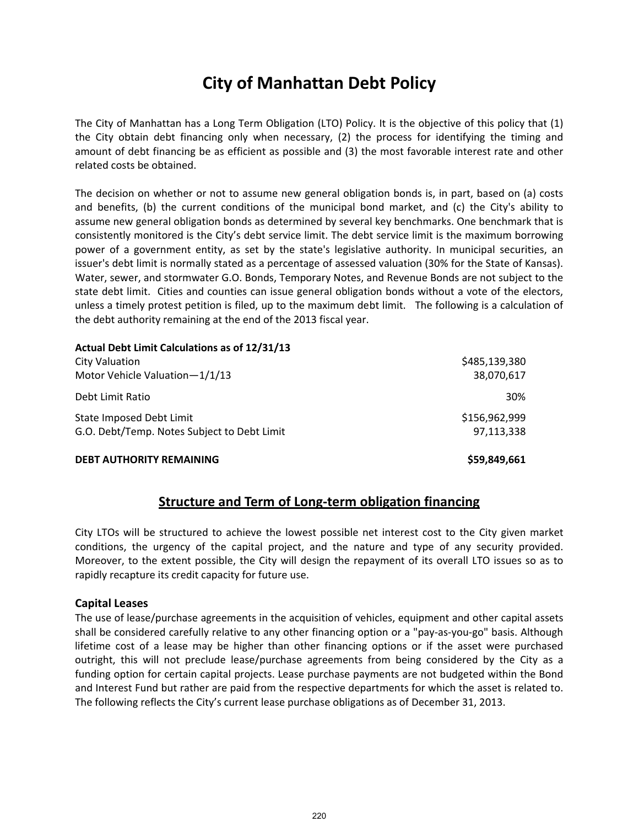### **City of Manhattan Debt Policy**

The City of Manhattan has a Long Term Obligation (LTO) Policy. It is the objective of this policy that (1) the City obtain debt financing only when necessary, (2) the process for identifying the timing and amount of debt financing be as efficient as possible and (3) the most favorable interest rate and other related costs be obtained.

The decision on whether or not to assume new general obligation bonds is, in part, based on (a) costs and benefits, (b) the current conditions of the municipal bond market, and (c) the City's ability to assume new general obligation bonds as determined by several key benchmarks. One benchmark that is consistently monitored is the City's debt service limit. The debt service limit is the maximum borrowing power of a government entity, as set by the state's legislative authority. In municipal securities, an issuer's debt limit is normally stated as a percentage of assessed valuation (30% for the State of Kansas). Water, sewer, and stormwater G.O. Bonds, Temporary Notes, and Revenue Bonds are not subject to the state debt limit. Cities and counties can issue general obligation bonds without a vote of the electors, unless a timely protest petition is filed, up to the maximum debt limit. The following is a calculation of the debt authority remaining at the end of the 2013 fiscal year.

| Actual Debt Limit Calculations as of 12/31/13 |               |
|-----------------------------------------------|---------------|
| City Valuation                                | \$485,139,380 |
| Motor Vehicle Valuation-1/1/13                | 38,070,617    |
| Debt Limit Ratio                              | <b>30%</b>    |
| State Imposed Debt Limit                      | \$156,962,999 |
| G.O. Debt/Temp. Notes Subject to Debt Limit   | 97.113.338    |
| <b>DEBT AUTHORITY REMAINING</b>               | \$59,849,661  |

#### **Structure and Term of Long‐term obligation financing**

City LTOs will be structured to achieve the lowest possible net interest cost to the City given market conditions, the urgency of the capital project, and the nature and type of any security provided. Moreover, to the extent possible, the City will design the repayment of its overall LTO issues so as to rapidly recapture its credit capacity for future use.

#### **Capital Leases**

The use of lease/purchase agreements in the acquisition of vehicles, equipment and other capital assets shall be considered carefully relative to any other financing option or a "pay-as-you-go" basis. Although lifetime cost of a lease may be higher than other financing options or if the asset were purchased outright, this will not preclude lease/purchase agreements from being considered by the City as a funding option for certain capital projects. Lease purchase payments are not budgeted within the Bond and Interest Fund but rather are paid from the respective departments for which the asset is related to. The following reflects the City's current lease purchase obligations as of December 31, 2013.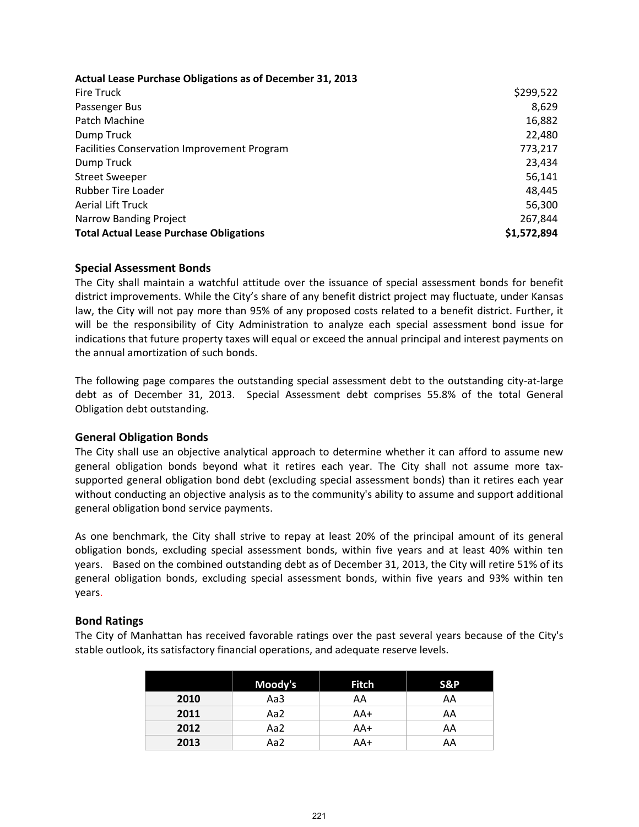**Actual Lease Purchase Obligations as of December 31, 2013**

| Fire Truck                                         | \$299,522   |
|----------------------------------------------------|-------------|
| Passenger Bus                                      | 8,629       |
| Patch Machine                                      | 16,882      |
| Dump Truck                                         | 22,480      |
| <b>Facilities Conservation Improvement Program</b> | 773,217     |
| Dump Truck                                         | 23,434      |
| <b>Street Sweeper</b>                              | 56,141      |
| <b>Rubber Tire Loader</b>                          | 48,445      |
| <b>Aerial Lift Truck</b>                           | 56,300      |
| <b>Narrow Banding Project</b>                      | 267,844     |
| <b>Total Actual Lease Purchase Obligations</b>     | \$1,572,894 |

#### **Special Assessment Bonds**

The City shall maintain a watchful attitude over the issuance of special assessment bonds for benefit district improvements. While the City's share of any benefit district project may fluctuate, under Kansas law, the City will not pay more than 95% of any proposed costs related to a benefit district. Further, it will be the responsibility of City Administration to analyze each special assessment bond issue for indications that future property taxes will equal or exceed the annual principal and interest payments on the annual amortization of such bonds.

The following page compares the outstanding special assessment debt to the outstanding city‐at‐large debt as of December 31, 2013. Special Assessment debt comprises 55.8% of the total General Obligation debt outstanding.

#### **General Obligation Bonds**

The City shall use an objective analytical approach to determine whether it can afford to assume new general obligation bonds beyond what it retires each year. The City shall not assume more taxsupported general obligation bond debt (excluding special assessment bonds) than it retires each year without conducting an objective analysis as to the community's ability to assume and support additional general obligation bond service payments.

As one benchmark, the City shall strive to repay at least 20% of the principal amount of its general obligation bonds, excluding special assessment bonds, within five years and at least 40% within ten years. Based on the combined outstanding debt as of December 31, 2013, the City will retire 51% of its general obligation bonds, excluding special assessment bonds, within five years and 93% within ten years.

#### **Bond Ratings**

The City of Manhattan has received favorable ratings over the past several years because of the City's stable outlook, its satisfactory financial operations, and adequate reserve levels.

|      | Moody's | <b>Fitch</b> | S&P |
|------|---------|--------------|-----|
| 2010 | Aa3     | AA           | AA  |
| 2011 | Aa2     | AA+          | AA  |
| 2012 | Aa2     | AA+          | AA  |
| 2013 | Aa2     | AA+          | AA  |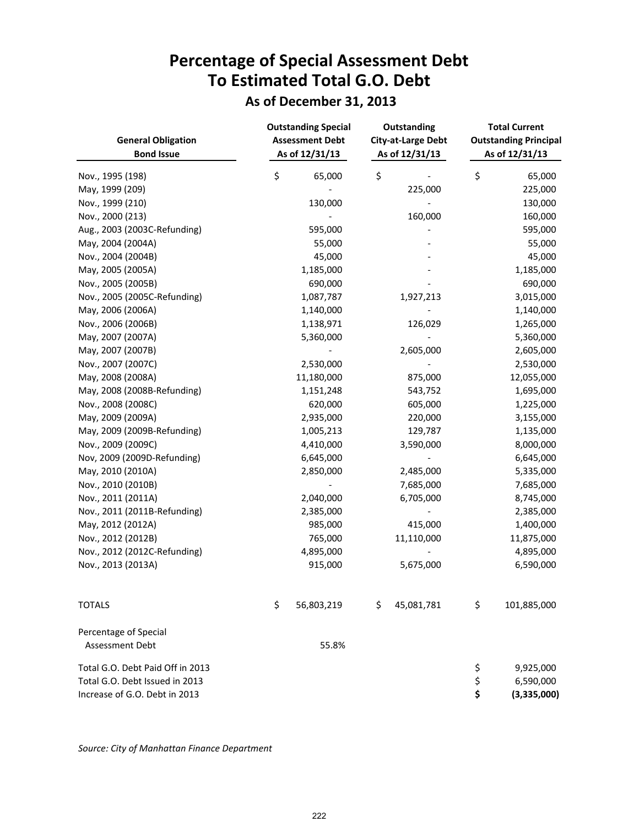## **Percentage of Special Assessment Debt To Estimated Total G.O. Debt**

### **As of December 31, 2013**

| <b>General Obligation</b><br><b>Bond Issue</b> | <b>Outstanding Special</b><br><b>Assessment Debt</b><br>As of 12/31/13 | Outstanding<br><b>City-at-Large Debt</b><br>As of 12/31/13 |                          | <b>Total Current</b><br><b>Outstanding Principal</b><br>As of 12/31/13 |
|------------------------------------------------|------------------------------------------------------------------------|------------------------------------------------------------|--------------------------|------------------------------------------------------------------------|
| Nov., 1995 (198)                               | \$<br>65,000                                                           | \$                                                         |                          | \$<br>65,000                                                           |
| May, 1999 (209)                                |                                                                        |                                                            | 225,000                  | 225,000                                                                |
| Nov., 1999 (210)                               | 130,000                                                                |                                                            |                          | 130,000                                                                |
| Nov., 2000 (213)                               |                                                                        |                                                            | 160,000                  | 160,000                                                                |
| Aug., 2003 (2003C-Refunding)                   | 595,000                                                                |                                                            |                          | 595,000                                                                |
| May, 2004 (2004A)                              | 55,000                                                                 |                                                            |                          | 55,000                                                                 |
| Nov., 2004 (2004B)                             | 45,000                                                                 |                                                            |                          | 45,000                                                                 |
| May, 2005 (2005A)                              | 1,185,000                                                              |                                                            |                          | 1,185,000                                                              |
| Nov., 2005 (2005B)                             | 690,000                                                                |                                                            |                          | 690,000                                                                |
| Nov., 2005 (2005C-Refunding)                   | 1,087,787                                                              |                                                            | 1,927,213                | 3,015,000                                                              |
| May, 2006 (2006A)                              | 1,140,000                                                              |                                                            |                          | 1,140,000                                                              |
| Nov., 2006 (2006B)                             | 1,138,971                                                              |                                                            | 126,029                  | 1,265,000                                                              |
| May, 2007 (2007A)                              | 5,360,000                                                              |                                                            |                          | 5,360,000                                                              |
| May, 2007 (2007B)                              |                                                                        |                                                            | 2,605,000                | 2,605,000                                                              |
| Nov., 2007 (2007C)                             | 2,530,000                                                              |                                                            |                          | 2,530,000                                                              |
| May, 2008 (2008A)                              | 11,180,000                                                             |                                                            | 875,000                  | 12,055,000                                                             |
| May, 2008 (2008B-Refunding)                    | 1,151,248                                                              |                                                            | 543,752                  | 1,695,000                                                              |
| Nov., 2008 (2008C)                             | 620,000                                                                |                                                            | 605,000                  | 1,225,000                                                              |
| May, 2009 (2009A)                              | 2,935,000                                                              |                                                            | 220,000                  | 3,155,000                                                              |
| May, 2009 (2009B-Refunding)                    | 1,005,213                                                              |                                                            | 129,787                  | 1,135,000                                                              |
| Nov., 2009 (2009C)                             | 4,410,000                                                              |                                                            | 3,590,000                | 8,000,000                                                              |
| Nov, 2009 (2009D-Refunding)                    | 6,645,000                                                              |                                                            | $\overline{\phantom{a}}$ | 6,645,000                                                              |
| May, 2010 (2010A)                              | 2,850,000                                                              |                                                            | 2,485,000                | 5,335,000                                                              |
| Nov., 2010 (2010B)                             |                                                                        |                                                            | 7,685,000                | 7,685,000                                                              |
| Nov., 2011 (2011A)                             | 2,040,000                                                              |                                                            | 6,705,000                | 8,745,000                                                              |
| Nov., 2011 (2011B-Refunding)                   | 2,385,000                                                              |                                                            |                          | 2,385,000                                                              |
| May, 2012 (2012A)                              | 985,000                                                                |                                                            | 415,000                  | 1,400,000                                                              |
| Nov., 2012 (2012B)                             | 765,000                                                                |                                                            | 11,110,000               | 11,875,000                                                             |
| Nov., 2012 (2012C-Refunding)                   | 4,895,000                                                              |                                                            |                          | 4,895,000                                                              |
| Nov., 2013 (2013A)                             | 915,000                                                                |                                                            | 5,675,000                | 6,590,000                                                              |
| <b>TOTALS</b>                                  | \$<br>56,803,219                                                       | \$                                                         | 45,081,781               | \$<br>101,885,000                                                      |
| Percentage of Special                          |                                                                        |                                                            |                          |                                                                        |
| Assessment Debt                                | 55.8%                                                                  |                                                            |                          |                                                                        |
| Total G.O. Debt Paid Off in 2013               |                                                                        |                                                            |                          | \$<br>9,925,000                                                        |
| Total G.O. Debt Issued in 2013                 |                                                                        |                                                            |                          | \$<br>6,590,000                                                        |
| Increase of G.O. Debt in 2013                  |                                                                        |                                                            |                          | \$<br>(3,335,000)                                                      |

*Source: City of Manhattan Finance Department*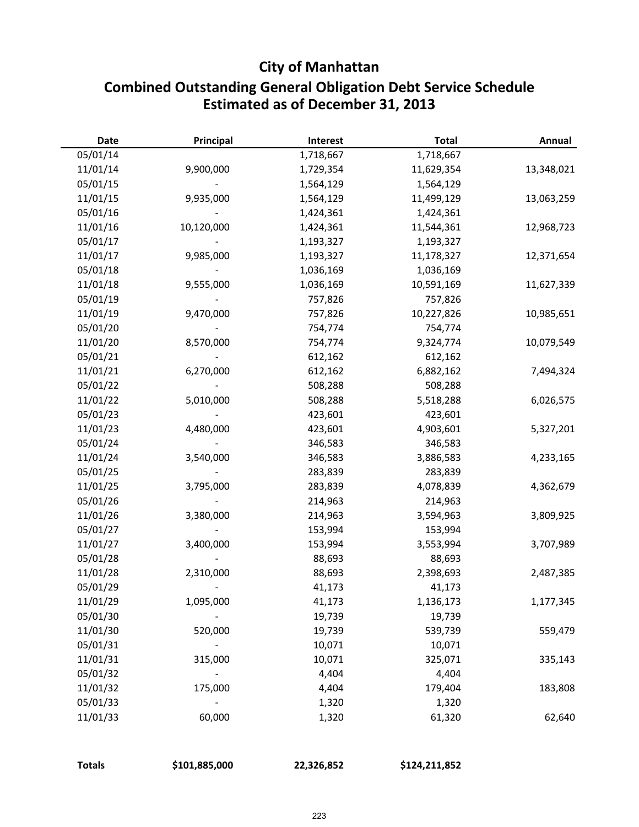### **City of Manhattan**

### **Combined Outstanding General Obligation Debt Service Schedule Estimated as of December 31, 2013**

| <b>Date</b> | Principal  | Interest  | <b>Total</b> | Annual     |
|-------------|------------|-----------|--------------|------------|
| 05/01/14    |            | 1,718,667 | 1,718,667    |            |
| 11/01/14    | 9,900,000  | 1,729,354 | 11,629,354   | 13,348,021 |
| 05/01/15    |            | 1,564,129 | 1,564,129    |            |
| 11/01/15    | 9,935,000  | 1,564,129 | 11,499,129   | 13,063,259 |
| 05/01/16    |            | 1,424,361 | 1,424,361    |            |
| 11/01/16    | 10,120,000 | 1,424,361 | 11,544,361   | 12,968,723 |
| 05/01/17    |            | 1,193,327 | 1,193,327    |            |
| 11/01/17    | 9,985,000  | 1,193,327 | 11,178,327   | 12,371,654 |
| 05/01/18    |            | 1,036,169 | 1,036,169    |            |
| 11/01/18    | 9,555,000  | 1,036,169 | 10,591,169   | 11,627,339 |
| 05/01/19    |            | 757,826   | 757,826      |            |
| 11/01/19    | 9,470,000  | 757,826   | 10,227,826   | 10,985,651 |
| 05/01/20    |            | 754,774   | 754,774      |            |
| 11/01/20    | 8,570,000  | 754,774   | 9,324,774    | 10,079,549 |
| 05/01/21    |            | 612,162   | 612,162      |            |
| 11/01/21    | 6,270,000  | 612,162   | 6,882,162    | 7,494,324  |
| 05/01/22    |            | 508,288   | 508,288      |            |
| 11/01/22    | 5,010,000  | 508,288   | 5,518,288    | 6,026,575  |
| 05/01/23    |            | 423,601   | 423,601      |            |
| 11/01/23    | 4,480,000  | 423,601   | 4,903,601    | 5,327,201  |
| 05/01/24    |            | 346,583   | 346,583      |            |
| 11/01/24    | 3,540,000  | 346,583   | 3,886,583    | 4,233,165  |
| 05/01/25    |            | 283,839   | 283,839      |            |
| 11/01/25    | 3,795,000  | 283,839   | 4,078,839    | 4,362,679  |
| 05/01/26    |            | 214,963   | 214,963      |            |
| 11/01/26    | 3,380,000  | 214,963   | 3,594,963    | 3,809,925  |
| 05/01/27    |            | 153,994   | 153,994      |            |
| 11/01/27    | 3,400,000  | 153,994   | 3,553,994    | 3,707,989  |
| 05/01/28    |            | 88,693    | 88,693       |            |
| 11/01/28    | 2,310,000  | 88,693    | 2,398,693    | 2,487,385  |
| 05/01/29    |            | 41,173    | 41,173       |            |
| 11/01/29    | 1,095,000  | 41,173    | 1,136,173    | 1,177,345  |
| 05/01/30    |            | 19,739    | 19,739       |            |
| 11/01/30    | 520,000    | 19,739    | 539,739      | 559,479    |
| 05/01/31    |            | 10,071    | 10,071       |            |
| 11/01/31    | 315,000    | 10,071    | 325,071      | 335,143    |
| 05/01/32    |            | 4,404     | 4,404        |            |
| 11/01/32    | 175,000    | 4,404     | 179,404      | 183,808    |
| 05/01/33    |            | 1,320     | 1,320        |            |
| 11/01/33    | 60,000     | 1,320     | 61,320       | 62,640     |
|             |            |           |              |            |

| \$101,885,000<br><b>Totals</b> | 22,326,852 | \$124,211,852 |
|--------------------------------|------------|---------------|
|--------------------------------|------------|---------------|